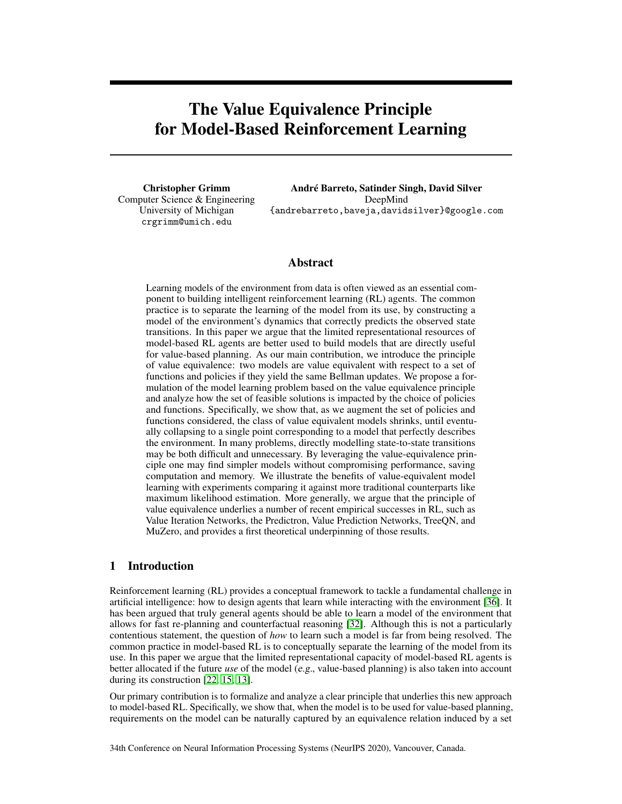# The Value Equivalence Principle for Model-Based Reinforcement Learning

Christopher Grimm Computer Science & Engineering University of Michigan crgrimm@umich.edu

André Barreto, Satinder Singh, David Silver DeepMind {andrebarreto,baveja,davidsilver}@google.com

## Abstract

Learning models of the environment from data is often viewed as an essential component to building intelligent reinforcement learning (RL) agents. The common practice is to separate the learning of the model from its use, by constructing a model of the environment's dynamics that correctly predicts the observed state transitions. In this paper we argue that the limited representational resources of model-based RL agents are better used to build models that are directly useful for value-based planning. As our main contribution, we introduce the principle of value equivalence: two models are value equivalent with respect to a set of functions and policies if they yield the same Bellman updates. We propose a formulation of the model learning problem based on the value equivalence principle and analyze how the set of feasible solutions is impacted by the choice of policies and functions. Specifically, we show that, as we augment the set of policies and functions considered, the class of value equivalent models shrinks, until eventually collapsing to a single point corresponding to a model that perfectly describes the environment. In many problems, directly modelling state-to-state transitions may be both difficult and unnecessary. By leveraging the value-equivalence principle one may find simpler models without compromising performance, saving computation and memory. We illustrate the benefits of value-equivalent model learning with experiments comparing it against more traditional counterparts like maximum likelihood estimation. More generally, we argue that the principle of value equivalence underlies a number of recent empirical successes in RL, such as Value Iteration Networks, the Predictron, Value Prediction Networks, TreeQN, and MuZero, and provides a first theoretical underpinning of those results.

### 1 Introduction

Reinforcement learning (RL) provides a conceptual framework to tackle a fundamental challenge in artificial intelligence: how to design agents that learn while interacting with the environment [36]. It has been argued that truly general agents should be able to learn a model of the environment that allows for fast re-planning and counterfactual reasoning [32]. Although this is not a particularly contentious statement, the question of *how* to learn such a model is far from being resolved. The common practice in model-based RL is to conceptually separate the learning of the model from its use. In this paper we argue that the limited representational capacity of model-based RL agents is better allocated if the future *use* of the model (e.g., value-based planning) is also taken into account during its construction [22, 15, 13].

Our primary contribution is to formalize and analyze a clear principle that underlies this new approach to model-based RL. Specifically, we show that, when the model is to be used for value-based planning, requirements on the model can be naturally captured by an equivalence relation induced by a set

34th Conference on Neural Information Processing Systems (NeurIPS 2020), Vancouver, Canada.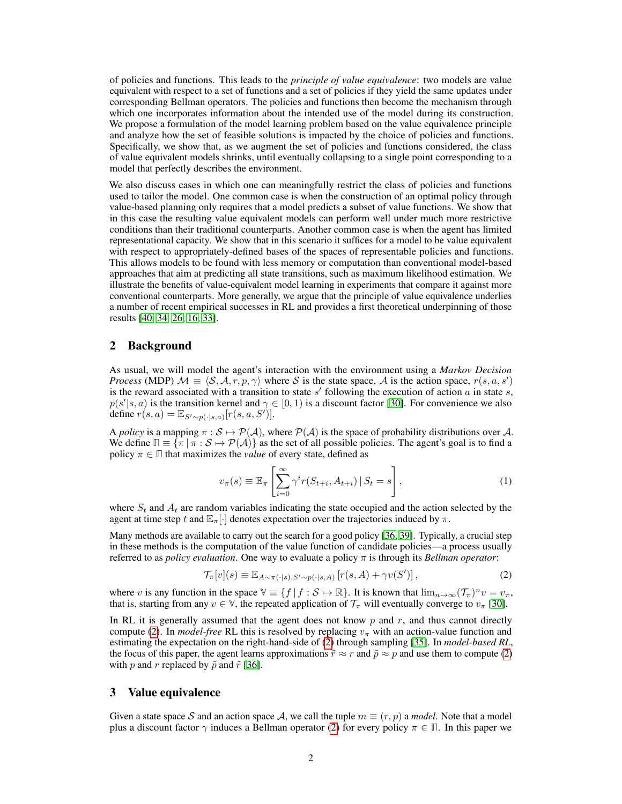of policies and functions. This leads to the *principle of value equivalence*: two models are value equivalent with respect to a set of functions and a set of policies if they yield the same updates under corresponding Bellman operators. The policies and functions then become the mechanism through which one incorporates information about the intended use of the model during its construction. We propose a formulation of the model learning problem based on the value equivalence principle and analyze how the set of feasible solutions is impacted by the choice of policies and functions. Specifically, we show that, as we augment the set of policies and functions considered, the class of value equivalent models shrinks, until eventually collapsing to a single point corresponding to a model that perfectly describes the environment.

We also discuss cases in which one can meaningfully restrict the class of policies and functions used to tailor the model. One common case is when the construction of an optimal policy through value-based planning only requires that a model predicts a subset of value functions. We show that in this case the resulting value equivalent models can perform well under much more restrictive conditions than their traditional counterparts. Another common case is when the agent has limited representational capacity. We show that in this scenario it suffices for a model to be value equivalent with respect to appropriately-defined bases of the spaces of representable policies and functions. This allows models to be found with less memory or computation than conventional model-based approaches that aim at predicting all state transitions, such as maximum likelihood estimation. We illustrate the benefits of value-equivalent model learning in experiments that compare it against more conventional counterparts. More generally, we argue that the principle of value equivalence underlies a number of recent empirical successes in RL and provides a first theoretical underpinning of those results [40, 34, 26, 16, 33].

## 2 Background

As usual, we will model the agent's interaction with the environment using a *Markov Decision Process* (MDP)  $M \equiv \langle S, A, r, p, \gamma \rangle$  where S is the state space, A is the action space,  $r(s, a, s')$ is the reward associated with a transition to state  $s'$  following the execution of action  $a$  in state  $s$ ,  $p(s'|s, a)$  is the transition kernel and  $\gamma \in [0, 1)$  is a discount factor [30]. For convenience we also define  $r(s, a) = \mathbb{E}_{S' \sim p(\cdot | s, a)}[r(s, a, S')]$ .

A *policy* is a mapping  $\pi : S \mapsto \mathcal{P}(\mathcal{A})$ , where  $\mathcal{P}(\mathcal{A})$  is the space of probability distributions over A. We define  $\mathbb{\Pi} \equiv \{ \pi \mid \pi : S \mapsto \mathcal{P}(\mathcal{A}) \}$  as the set of all possible policies. The agent's goal is to find a policy  $\pi \in \mathbb{R}$  that maximizes the *value* of every state, defined as

$$
v_{\pi}(s) \equiv \mathbb{E}_{\pi} \left[ \sum_{i=0}^{\infty} \gamma^{i} r(S_{t+i}, A_{t+i}) \, | \, S_t = s \right], \tag{1}
$$

where  $S_t$  and  $A_t$  are random variables indicating the state occupied and the action selected by the agent at time step t and  $\mathbb{E}_{\pi}[\cdot]$  denotes expectation over the trajectories induced by  $\pi$ .

Many methods are available to carry out the search for a good policy [36, 39]. Typically, a crucial step in these methods is the computation of the value function of candidate policies—a process usually referred to as *policy evaluation*. One way to evaluate a policy π is through its *Bellman operator*:

$$
\mathcal{T}_{\pi}[v](s) \equiv \mathbb{E}_{A \sim \pi(\cdot|s), S' \sim p(\cdot|s,A)} \left[ r(s,A) + \gamma v(S') \right],\tag{2}
$$

where v is any function in the space  $\mathbb{V} \equiv \{f \mid f : \mathcal{S} \mapsto \mathbb{R}\}.$  It is known that  $\lim_{n \to \infty} (\mathcal{T}_\pi)^n v = v_\pi$ , that is, starting from any  $v \in \mathbb{V}$ , the repeated application of  $\mathcal{T}_{\pi}$  will eventually converge to  $v_{\pi}$  [30].

In RL it is generally assumed that the agent does not know  $p$  and  $r$ , and thus cannot directly compute (2). In *model-free* RL this is resolved by replacing  $v_{\pi}$  with an action-value function and estimating the expectation on the right-hand-side of (2) through sampling [35]. In *model-based RL*, the focus of this paper, the agent learns approximations  $\tilde{r} \approx r$  and  $\tilde{p} \approx p$  and use them to compute (2) with p and r replaced by  $\tilde{p}$  and  $\tilde{r}$  [36].

## 3 Value equivalence

Given a state space S and an action space A, we call the tuple  $m \equiv (r, p)$  a *model*. Note that a model plus a discount factor  $\gamma$  induces a Bellman operator (2) for every policy  $\pi \in \mathbb{I}$ . In this paper we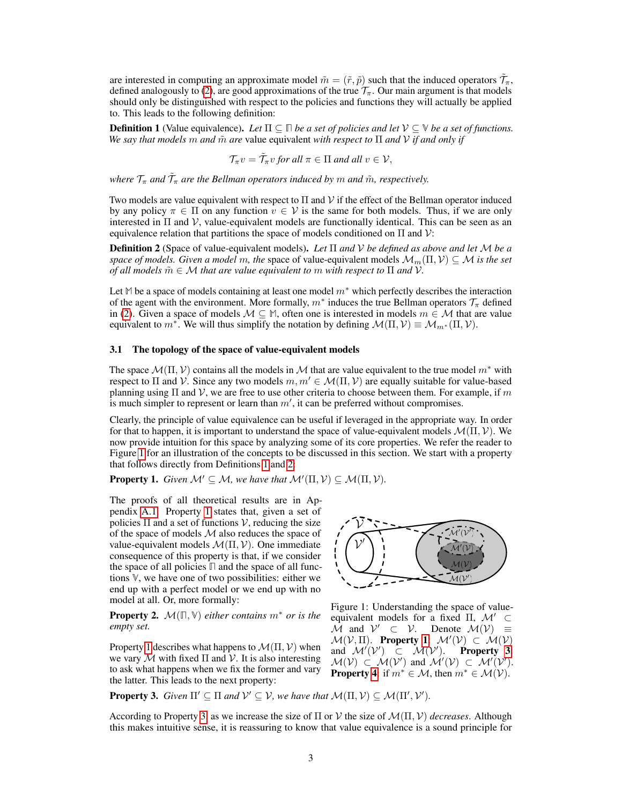are interested in computing an approximate model  $\tilde{m} = (\tilde{r}, \tilde{p})$  such that the induced operators  $\tilde{\mathcal{T}}_{\pi}$ , defined analogously to (2), are good approximations of the true  $\mathcal{T}_{\pi}$ . Our main argument is that models should only be distinguished with respect to the policies and functions they will actually be applied to. This leads to the following definition:

**Definition 1** (Value equivalence). Let  $\Pi \subseteq \Pi$  be a set of policies and let  $V \subseteq V$  be a set of functions. *We say that models m and m̃ are* value equivalent *with respect to* Π *and V if and only if* 

$$
\mathcal{T}_{\pi}v = \tilde{\mathcal{T}}_{\pi}v \text{ for all } \pi \in \Pi \text{ and all } v \in \mathcal{V},
$$

where  $\mathcal{T}_\pi$  and  $\tilde{\mathcal{T}}_\pi$  are the Bellman operators induced by  $m$  and  $\tilde{m}$ , respectively.

Two models are value equivalent with respect to Π and V if the effect of the Bellman operator induced by any policy  $\pi \in \Pi$  on any function  $v \in V$  is the same for both models. Thus, if we are only interested in  $\Pi$  and  $V$ , value-equivalent models are functionally identical. This can be seen as an equivalence relation that partitions the space of models conditioned on  $\Pi$  and  $\mathcal{V}$ :

Definition 2 (Space of value-equivalent models). *Let* Π *and* V *be defined as above and let* M *be a space of models. Given a model m, the* space of value-equivalent models  $\mathcal{M}_m(\Pi, \mathcal{V}) \subseteq \mathcal{M}$  *is the set of all models*  $\tilde{m} \in \mathcal{M}$  *that are value equivalent to* m *with respect to*  $\Pi$  *and*  $V$ *.* 

Let **M** be a space of models containing at least one model m<sup>∗</sup> which perfectly describes the interaction of the agent with the environment. More formally,  $m^*$  induces the true Bellman operators  $\mathcal{T}_{\pi}$  defined in (2). Given a space of models  $M \subseteq M$ , often one is interested in models  $m \in M$  that are value equivalent to  $m^*$ . We will thus simplify the notation by defining  $\mathcal{M}(\Pi, \mathcal{V}) \equiv \mathcal{M}_{m^*}(\Pi, \mathcal{V})$ .

#### 3.1 The topology of the space of value-equivalent models

The space  $\mathcal{M}(\Pi, \mathcal{V})$  contains all the models in M that are value equivalent to the true model  $m^*$  with respect to Π and V. Since any two models  $m, m' \in \mathcal{M}(\Pi, V)$  are equally suitable for value-based planning using  $\Pi$  and  $\mathcal{V}$ , we are free to use other criteria to choose between them. For example, if m is much simpler to represent or learn than  $m'$ , it can be preferred without compromises.

Clearly, the principle of value equivalence can be useful if leveraged in the appropriate way. In order for that to happen, it is important to understand the space of value-equivalent models  $\mathcal{M}(\Pi, \mathcal{V})$ . We now provide intuition for this space by analyzing some of its core properties. We refer the reader to Figure 1 for an illustration of the concepts to be discussed in this section. We start with a property that follows directly from Definitions 1 and 2:

**Property 1.** *Given*  $\mathcal{M}' \subseteq \mathcal{M}$ *, we have that*  $\mathcal{M}'(\Pi, \mathcal{V}) \subseteq \mathcal{M}(\Pi, \mathcal{V})$ *.* 

The proofs of all theoretical results are in Appendix A.1. Property 1 states that, given a set of policies  $\Pi$  and a set of functions  $\mathcal V$ , reducing the size of the space of models  $M$  also reduces the space of value-equivalent models  $\mathcal{M}(\Pi, \mathcal{V})$ . One immediate consequence of this property is that, if we consider the space of all policies **Π** and the space of all functions **V**, we have one of two possibilities: either we end up with a perfect model or we end up with no model at all. Or, more formally:

Property 2. M(**Π**, **V**) *either contains* m<sup>∗</sup> *or is the empty set.*

Property 1 describes what happens to  $\mathcal{M}(\Pi, \mathcal{V})$  when we vary  $M$  with fixed  $\Pi$  and  $V$ . It is also interesting to ask what happens when we fix the former and vary the latter. This leads to the next property:



Figure 1: Understanding the space of valueequivalent models for a fixed Π,  $\mathcal{M}' \subset$  $\hat{\mathcal{M}}$  and  $\mathcal{V}' \subset \mathcal{V}$ . Denote  $\mathcal{M}(\mathcal{V}) \equiv$  $\mathcal{M}(\mathcal{V}, \Pi)$ . Property 1:  $\mathcal{M}'(\mathcal{V}) \subset \mathcal{M}(\mathcal{V})$ and  $\mathcal{M}'(\mathcal{V}') \subset \mathcal{M}(\mathcal{V}')$ . Property 3:  $\mathcal{M}(\mathcal{V}) \subset \mathcal{M}(\mathcal{V}')$  and  $\mathcal{M}'(\mathcal{V}) \subset \mathcal{M}'(\mathcal{V}')$ . **Property 4:** if  $m^* \in \mathcal{M}$ , then  $m^* \in \mathcal{M}(\mathcal{V})$ .

**Property 3.** *Given*  $\Pi' \subseteq \Pi$  *and*  $V' \subseteq V$ *, we have that*  $\mathcal{M}(\Pi, V) \subseteq \mathcal{M}(\Pi', V')$ *.* 

According to Property 3, as we increase the size of  $\Pi$  or  $V$  the size of  $\mathcal{M}(\Pi, V)$  *decreases*. Although this makes intuitive sense, it is reassuring to know that value equivalence is a sound principle for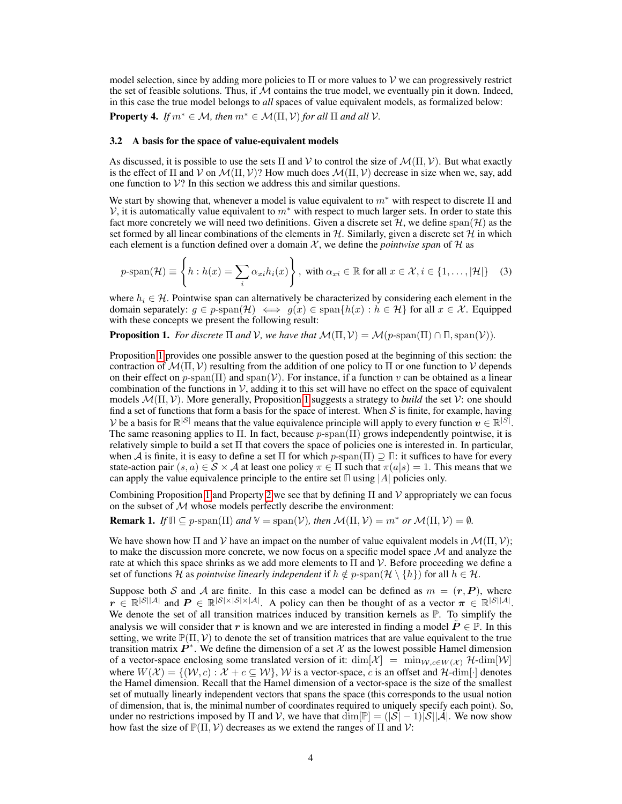model selection, since by adding more policies to  $\Pi$  or more values to  $\mathcal V$  we can progressively restrict the set of feasible solutions. Thus, if  $M$  contains the true model, we eventually pin it down. Indeed, in this case the true model belongs to *all* spaces of value equivalent models, as formalized below:

**Property 4.** *If*  $m^* \in \mathcal{M}$ , *then*  $m^* \in \mathcal{M}(\Pi, \mathcal{V})$  *for all*  $\Pi$  *and all*  $\mathcal{V}$ *.* 

#### 3.2 A basis for the space of value-equivalent models

As discussed, it is possible to use the sets  $\Pi$  and  $\mathcal V$  to control the size of  $\mathcal M(\Pi, \mathcal V)$ . But what exactly is the effect of  $\Pi$  and  $V$  on  $\mathcal{M}(\Pi, V)$ ? How much does  $\mathcal{M}(\Pi, V)$  decrease in size when we, say, add one function to  $V$ ? In this section we address this and similar questions.

We start by showing that, whenever a model is value equivalent to  $m^*$  with respect to discrete  $\Pi$  and  $\mathcal V$ , it is automatically value equivalent to  $m^*$  with respect to much larger sets. In order to state this fact more concretely we will need two definitions. Given a discrete set  $H$ , we define span( $H$ ) as the set formed by all linear combinations of the elements in  $H$ . Similarly, given a discrete set  $H$  in which each element is a function defined over a domain  $X$ , we define the *pointwise span* of  $H$  as

$$
p\text{-span}(\mathcal{H}) \equiv \left\{ h : h(x) = \sum_{i} \alpha_{xi} h_i(x) \right\}, \text{ with } \alpha_{xi} \in \mathbb{R} \text{ for all } x \in \mathcal{X}, i \in \{1, \dots, |\mathcal{H}|\} \quad (3)
$$

where  $h_i \in \mathcal{H}$ . Pointwise span can alternatively be characterized by considering each element in the domain separately:  $g \in p\text{-span}(\mathcal{H}) \iff g(x) \in \text{span}\{h(x) : h \in \mathcal{H}\}\$  for all  $x \in \mathcal{X}$ . Equipped with these concepts we present the following result:

**Proposition 1.** *For discrete*  $\Pi$  *and*  $V$ *, we have that*  $\mathcal{M}(\Pi, V) = \mathcal{M}(p\text{-span}(\Pi) \cap \Pi$ , span( $V$ )).

Proposition 1 provides one possible answer to the question posed at the beginning of this section: the contraction of  $\mathcal{M}(\Pi, \mathcal{V})$  resulting from the addition of one policy to  $\Pi$  or one function to  $\mathcal{V}$  depends on their effect on  $p\text{-span}(\Pi)$  and  $\text{span}(\mathcal{V})$ . For instance, if a function v can be obtained as a linear combination of the functions in  $V$ , adding it to this set will have no effect on the space of equivalent models  $\mathcal{M}(\Pi, \mathcal{V})$ . More generally, Proposition 1 suggests a strategy to *build* the set  $\mathcal{V}$ : one should find a set of functions that form a basis for the space of interest. When  $S$  is finite, for example, having V be a basis for  $\mathbb{R}^{|S|}$  means that the value equivalence principle will apply to every function  $v \in \mathbb{R}^{|S|}$ . The same reasoning applies to Π. In fact, because  $p$ -span(Π) grows independently pointwise, it is relatively simple to build a set  $\Pi$  that covers the space of policies one is interested in. In particular, when A is finite, it is easy to define a set  $\Pi$  for which  $p$ -span( $\Pi$ )  $\supseteq \Pi$ : it suffices to have for every state-action pair  $(s, a) \in S \times A$  at least one policy  $\pi \in \Pi$  such that  $\pi(a|s) = 1$ . This means that we can apply the value equivalence principle to the entire set  $\Pi$  using  $|A|$  policies only.

Combining Proposition 1 and Property 2 we see that by defining  $\Pi$  and  $\mathcal V$  appropriately we can focus on the subset of  $M$  whose models perfectly describe the environment:

**Remark 1.** *If*  $\Box$   $\Box$   $p$ -span( $\Pi$ ) *and*  $\mathbb{V} = \text{span}(\mathcal{V})$ *, then*  $\mathcal{M}(\Pi, \mathcal{V}) = m^*$  *or*  $\mathcal{M}(\Pi, \mathcal{V}) = \emptyset$ *.* 

We have shown how  $\Pi$  and  $V$  have an impact on the number of value equivalent models in  $\mathcal{M}(\Pi, V)$ ; to make the discussion more concrete, we now focus on a specific model space  $M$  and analyze the rate at which this space shrinks as we add more elements to  $\Pi$  and  $\mathcal V$ . Before proceeding we define a set of functions H as *pointwise linearly independent* if  $h \notin p$ -span $(\mathcal{H} \setminus \{h\})$  for all  $h \in \mathcal{H}$ .

Suppose both S and A are finite. In this case a model can be defined as  $m = (r, P)$ , where  $r \in \mathbb{R}^{|\mathcal{S}||\mathcal{A}|}$  and  $P \in \mathbb{R}^{|\mathcal{S}| \times |\mathcal{S}| \times |\mathcal{A}|}$ . A policy can then be thought of as a vector  $\pi \in \mathbb{R}^{|\mathcal{S}||\mathcal{A}|}$ . We denote the set of all transition matrices induced by transition kernels as P. To simplify the analysis we will consider that r is known and we are interested in finding a model  $P \in \mathbb{P}$ . In this setting, we write  $\mathbb{P}(\Pi, \mathcal{V})$  to denote the set of transition matrices that are value equivalent to the true transition matrix  $\vec{P}^*$ . We define the dimension of a set X as the lowest possible Hamel dimension of a vector-space enclosing some translated version of it:  $\dim[\mathcal{X}] = \min_{\mathcal{W}, c \in W(\mathcal{X})} \mathcal{H}\text{-dim}[\mathcal{W}]$ where  $W(\mathcal{X}) = \{(\mathcal{W}, c) : \mathcal{X} + c \subseteq \mathcal{W}\}\$ , W is a vector-space, c is an offset and  $\mathcal{H}\text{-dim}\left[\cdot\right]$  denotes the Hamel dimension. Recall that the Hamel dimension of a vector-space is the size of the smallest set of mutually linearly independent vectors that spans the space (this corresponds to the usual notion of dimension, that is, the minimal number of coordinates required to uniquely specify each point). So, under no restrictions imposed by  $\Pi$  and  $V$ , we have that  $\dim[\mathbb{P}] = (|\mathcal{S}|-1)|\mathcal{S}||\mathcal{A}|$ . We now show how fast the size of  $\mathbb{P}(\Pi, V)$  decreases as we extend the ranges of  $\Pi$  and  $V$ :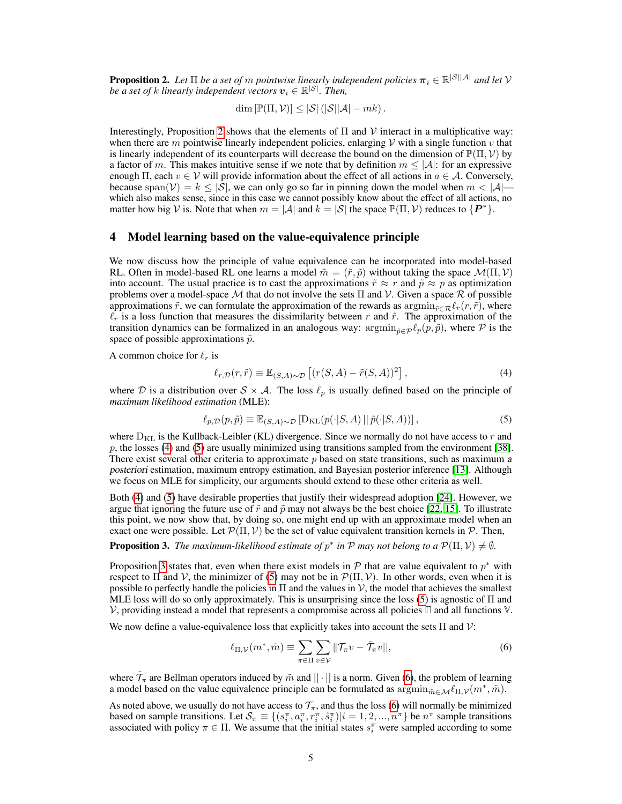**Proposition 2.** Let  $\Pi$  be a set of  $m$  pointwise linearly independent policies  $\pi_i \in \mathbb{R}^{|S||A|}$  and let  $V$ *be a set of k linearly independent vectors*  $v_i \in \mathbb{R}^{|S|}$ . Then,

$$
\dim [\mathbb{P}(\Pi, V)] \leq |\mathcal{S}| (|\mathcal{S}||\mathcal{A}| - mk).
$$

Interestingly, Proposition 2 shows that the elements of  $\Pi$  and  $\mathcal V$  interact in a multiplicative way: when there are m pointwise linearly independent policies, enlarging  $V$  with a single function v that is linearly independent of its counterparts will decrease the bound on the dimension of  $\mathbb{P}(\Pi, V)$  by a factor of m. This makes intuitive sense if we note that by definition  $m \leq |\mathcal{A}|$ : for an expressive enough  $\Pi$ , each  $v \in V$  will provide information about the effect of all actions in  $a \in A$ . Conversely, because span(V) =  $k \leq |\mathcal{S}|$ , we can only go so far in pinning down the model when  $m < |\mathcal{A}|$  which also makes sense, since in this case we cannot possibly know about the effect of all actions, no matter how big V is. Note that when  $m = |\mathcal{A}|$  and  $k = |\mathcal{S}|$  the space  $\mathbb{P}(\Pi, V)$  reduces to  $\{P^*\}.$ 

#### 4 Model learning based on the value-equivalence principle

We now discuss how the principle of value equivalence can be incorporated into model-based RL. Often in model-based RL one learns a model  $\tilde{m} = (\tilde{r}, \tilde{p})$  without taking the space  $\mathcal{M}(\Pi, \mathcal{V})$ into account. The usual practice is to cast the approximations  $\tilde{r} \approx r$  and  $\tilde{p} \approx p$  as optimization problems over a model-space M that do not involve the sets  $\Pi$  and  $\mathcal V$ . Given a space  $\mathcal R$  of possible approximations  $\tilde{r}$ , we can formulate the approximation of the rewards as  $\operatorname{argmin}_{\tilde{r}\in\mathcal{R}}\ell_r(r,\tilde{r})$ , where  $\ell_r$  is a loss function that measures the dissimilarity between r and  $\tilde{r}$ . The approximation of the transition dynamics can be formalized in an analogous way:  $\operatorname{argmin}_{\tilde{p} \in \mathcal{P}} \ell_p(p, \tilde{p})$ , where  $\mathcal P$  is the space of possible approximations  $\tilde{p}$ .

A common choice for  $\ell_r$  is

$$
\ell_{r,\mathcal{D}}(r,\tilde{r}) \equiv \mathbb{E}_{(S,A)\sim\mathcal{D}}\left[ (r(S,A) - \tilde{r}(S,A))^2 \right],\tag{4}
$$

where D is a distribution over  $S \times A$ . The loss  $\ell_p$  is usually defined based on the principle of *maximum likelihood estimation* (MLE):

$$
\ell_{p,\mathcal{D}}(p,\tilde{p}) \equiv \mathbb{E}_{(S,A)\sim\mathcal{D}}\left[\mathcal{D}_{\mathrm{KL}}(p(\cdot|S,A)||\tilde{p}(\cdot|S,A))\right],\tag{5}
$$

where  $D_{KL}$  is the Kullback-Leibler (KL) divergence. Since we normally do not have access to r and  $p$ , the losses (4) and (5) are usually minimized using transitions sampled from the environment [38]. There exist several other criteria to approximate  $p$  based on state transitions, such as maximum  $a$ posteriori estimation, maximum entropy estimation, and Bayesian posterior inference [13]. Although we focus on MLE for simplicity, our arguments should extend to these other criteria as well.

Both (4) and (5) have desirable properties that justify their widespread adoption [24]. However, we argue that ignoring the future use of  $\tilde{r}$  and  $\tilde{p}$  may not always be the best choice [22, 15]. To illustrate this point, we now show that, by doing so, one might end up with an approximate model when an exact one were possible. Let  $\mathcal{P}(\Pi, \mathcal{V})$  be the set of value equivalent transition kernels in  $\mathcal{P}$ . Then,

**Proposition 3.** The maximum-likelihood estimate of  $p^*$  in  $P$  may not belong to a  $P(\Pi, V) \neq \emptyset$ .

Proposition 3 states that, even when there exist models in  $\mathcal P$  that are value equivalent to  $p^*$  with respect to  $\Pi$  and  $V$ , the minimizer of (5) may not be in  $\mathcal{P}(\Pi, V)$ . In other words, even when it is possible to perfectly handle the policies in  $\Pi$  and the values in  $\mathcal V$ , the model that achieves the smallest MLE loss will do so only approximately. This is unsurprising since the loss (5) is agnostic of  $\Pi$  and V, providing instead a model that represents a compromise across all policies **Π** and all functions **V**.

We now define a value-equivalence loss that explicitly takes into account the sets  $\Pi$  and  $\mathcal{V}$ :

$$
\ell_{\Pi,\mathcal{V}}(m^*,\tilde{m}) \equiv \sum_{\pi \in \Pi} \sum_{v \in \mathcal{V}} ||\mathcal{T}_{\pi}v - \tilde{\mathcal{T}}_{\pi}v||, \tag{6}
$$

where  $\tilde{\mathcal{T}}_\pi$  are Bellman operators induced by  $\tilde{m}$  and  $||\cdot||$  is a norm. Given (6), the problem of learning a model based on the value equivalence principle can be formulated as  $\operatorname{argmin}_{\tilde{m}\in\mathcal{M}}\ell_{\Pi,\mathcal{V}}(m^*,\tilde{m})$ .

As noted above, we usually do not have access to  $\mathcal{T}_{\pi}$ , and thus the loss (6) will normally be minimized based on sample transitions. Let  $S_{\pi} \equiv \{(s_i^{\pi}, a_i^{\pi}, r_i^{\pi}, \hat{s}_i^{\pi}) | i = 1, 2, ..., n^{\pi} \}$  be  $n^{\pi}$  sample transitions associated with policy  $\pi \in \Pi$ . We assume that the initial states  $s_i^{\pi}$  were sampled according to some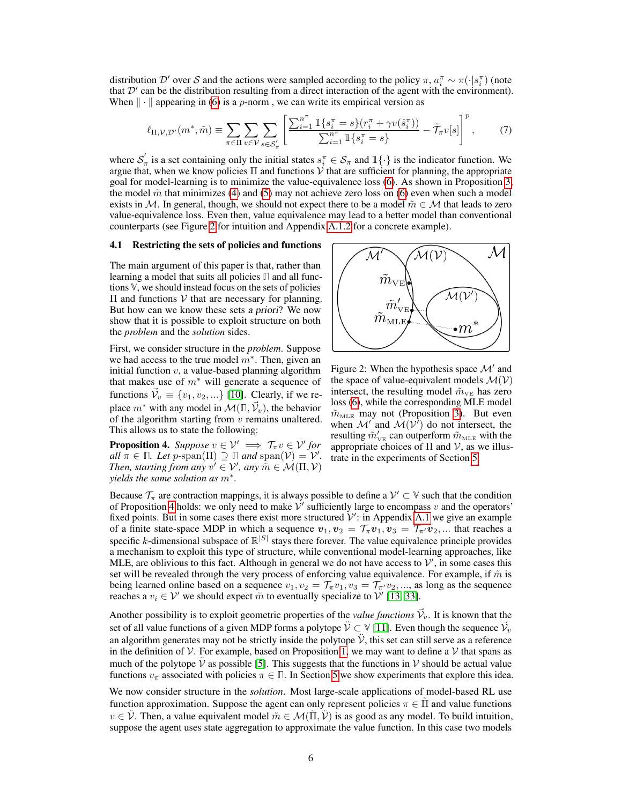distribution  $\mathcal{D}'$  over S and the actions were sampled according to the policy  $\pi$ ,  $a_i^{\pi} \sim \pi(\cdot|s_i^{\pi})$  (note that  $\mathcal{D}'$  can be the distribution resulting from a direct interaction of the agent with the environment). When  $\|\cdot\|$  appearing in (6) is a p-norm, we can write its empirical version as

$$
\ell_{\Pi,\mathcal{V},\mathcal{D}'}(m^*,\tilde{m}) \equiv \sum_{\pi \in \Pi} \sum_{v \in \mathcal{V}} \sum_{s \in \mathcal{S}'_{\pi}} \left[ \frac{\sum_{i=1}^{n^{\pi}} \mathbb{1}\{s_i^{\pi} = s\} (r_i^{\pi} + \gamma v(\hat{s}_i^{\pi}))}{\sum_{i=1}^{n^{\pi}} \mathbb{1}\{s_i^{\pi} = s\}} - \tilde{\mathcal{T}}_{\pi} v[s] \right]^p, \tag{7}
$$

where  $S'_\pi$  is a set containing only the initial states  $s_i^\pi \in S_\pi$  and  $\mathbb{1}\{\cdot\}$  is the indicator function. We argue that, when we know policies  $\Pi$  and functions  $\mathcal{V}$  that are sufficient for planning, the appropriate goal for model-learning is to minimize the value-equivalence loss (6). As shown in Proposition 3, the model  $\tilde{m}$  that minimizes (4) and (5) may not achieve zero loss on (6) even when such a model exists in M. In general, though, we should not expect there to be a model  $\tilde{m} \in \mathcal{M}$  that leads to zero value-equivalence loss. Even then, value equivalence may lead to a better model than conventional counterparts (see Figure 2 for intuition and Appendix A.1.2 for a concrete example).

#### 4.1 Restricting the sets of policies and functions

The main argument of this paper is that, rather than learning a model that suits all policies **Π** and all functions **V**, we should instead focus on the sets of policies  $\Pi$  and functions  $V$  that are necessary for planning. But how can we know these sets a priori? We now show that it is possible to exploit structure on both the *problem* and the *solution* sides.

First, we consider structure in the *problem*. Suppose we had access to the true model  $m^*$ . Then, given an initial function  $v$ , a value-based planning algorithm that makes use of  $m^*$  will generate a sequence of functions  $\vec{\mathcal{V}}_v \equiv \{v_1, v_2, ...\}$  [10]. Clearly, if we replace  $m^*$  with any model in  $\mathcal{M}(\mathbb{F}, \vec{\mathcal{V}}_v)$ , the behavior of the algorithm starting from  $v$  remains unaltered. This allows us to state the following:

**Proposition 4.** *Suppose*  $v \in V' \implies T_\pi v \in V'$  *for*  $all \ \bar{\pi} \in \mathbb{R}.$  Let  $p\text{-span}(\Pi) \supseteq \mathbb{R}$  *and*  $\text{span}(\mathcal{V}) = \mathcal{V}'.$ *Then, starting from any*  $v' \in V'$ , any  $\tilde{m} \in \mathcal{M}(\Pi, V)$ *yields the same solution as* m<sup>∗</sup> *.*



Figure 2: When the hypothesis space  $\mathcal{M}'$  and the space of value-equivalent models  $\mathcal{M}(\mathcal{V})$ intersect, the resulting model  $\tilde{m}_{VE}$  has zero loss (6), while the corresponding MLE model  $\tilde{m}_{MLE}$  may not (Proposition 3). But even when  $\mathcal{M}'$  and  $\mathcal{M}(\mathcal{V}')$  do not intersect, the resulting  $\tilde{m}'_{\text{VE}}$  can outperform  $\tilde{m}_{\text{MLE}}$  with the appropriate choices of  $\Pi$  and  $\mathcal V$ , as we illustrate in the experiments of Section 5.

Because  $\mathcal{T}_{\pi}$  are contraction mappings, it is always possible to define a  $\mathcal{V}' \subset \mathbb{V}$  such that the condition of Proposition 4 holds: we only need to make  $\mathcal{V}'$  sufficiently large to encompass v and the operators' fixed points. But in some cases there exist more structured  $V'$ : in Appendix A.1 we give an example of a finite state-space MDP in which a sequence  $v_1, v_2 = \mathcal{T}_{\pi} v_1, v_3 = \mathcal{T}_{\pi'} v_2, ...$  that reaches a specific k-dimensional subspace of  $\mathbb{R}^{|S|}$  stays there forever. The value equivalence principle provides a mechanism to exploit this type of structure, while conventional model-learning approaches, like MLE, are oblivious to this fact. Although in general we do not have access to  $\mathcal{V}'$ , in some cases this set will be revealed through the very process of enforcing value equivalence. For example, if  $\tilde{m}$  is being learned online based on a sequence  $v_1, v_2 = \mathcal{T}_{\pi}v_1, v_3 = \mathcal{T}_{\pi'}v_2, ...,$  as long as the sequence reaches a  $v_i \in V'$  we should expect  $\tilde{m}$  to eventually specialize to  $V'$  [13, 33].

Another possibility is to exploit geometric properties of the *value functions*  $\vec{V}_v$ . It is known that the set of all value functions of a given MDP forms a polytope  $\ddot{\mathcal{V}} \subset \mathbb{V}$  [11]. Even though the sequence  $\vec{\mathcal{V}}_v$ an algorithm generates may not be strictly inside the polytope  $\dot{V}$ , this set can still serve as a reference in the definition of  $V$ . For example, based on Proposition 1, we may want to define a  $V$  that spans as much of the polytope  $\ddot{V}$  as possible [5]. This suggests that the functions in V should be actual value functions  $v_\pi$  associated with policies  $\pi \in \mathbb{R}$ . In Section 5 we show experiments that explore this idea.

We now consider structure in the *solution*. Most large-scale applications of model-based RL use function approximation. Suppose the agent can only represent policies  $\pi \in \Pi$  and value functions  $v \in \tilde{\mathcal{V}}$ . Then, a value equivalent model  $\tilde{m} \in \mathcal{M}(\tilde{\Pi}, \tilde{\mathcal{V}})$  is as good as any model. To build intuition, suppose the agent uses state aggregation to approximate the value function. In this case two models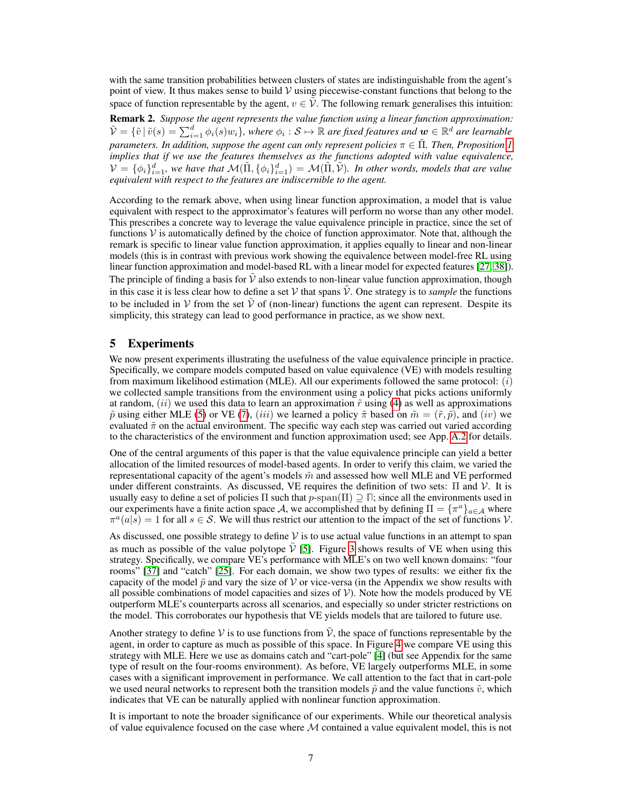with the same transition probabilities between clusters of states are indistinguishable from the agent's point of view. It thus makes sense to build  $V$  using piecewise-constant functions that belong to the space of function representable by the agent,  $v \in \tilde{\mathcal{V}}$ . The following remark generalises this intuition:

Remark 2. *Suppose the agent represents the value function using a linear function approximation:*  $\tilde{\mathcal{V}}=\{\tilde{v}\,|\,\tilde{v}(s)=\sum_{i=1}^d\phi_i(s)w_i\},$  where  $\phi_i:\mathcal{S}\mapsto\mathbb{R}$  are fixed features and  $\boldsymbol{w}\in\mathbb{R}^d$  are learnable *parameters. In addition, suppose the agent can only represent policies*  $\pi \in \tilde{\Pi}$ *. Then, Proposition 1 implies that if we use the features themselves as the functions adopted with value equivalence,*  $\mathcal{V}=\{\phi_i\}_{i=1}^d$ , we have that  $\mathcal{M}(\tilde{\Pi}, \{\phi_i\}_{i=1}^d) = \mathcal{M}(\tilde{\Pi}, \tilde{\mathcal{V}})$ . In other words, models that are value *equivalent with respect to the features are indiscernible to the agent.*

According to the remark above, when using linear function approximation, a model that is value equivalent with respect to the approximator's features will perform no worse than any other model. This prescribes a concrete way to leverage the value equivalence principle in practice, since the set of functions  $V$  is automatically defined by the choice of function approximator. Note that, although the remark is specific to linear value function approximation, it applies equally to linear and non-linear models (this is in contrast with previous work showing the equivalence between model-free RL using linear function approximation and model-based RL with a linear model for expected features [27, 38]). The principle of finding a basis for  $\hat{V}$  also extends to non-linear value function approximation, though in this case it is less clear how to define a set  $V$  that spans  $V$ . One strategy is to *sample* the functions to be included in V from the set  $\tilde{V}$  of (non-linear) functions the agent can represent. Despite its simplicity, this strategy can lead to good performance in practice, as we show next.

# 5 Experiments

We now present experiments illustrating the usefulness of the value equivalence principle in practice. Specifically, we compare models computed based on value equivalence (VE) with models resulting from maximum likelihood estimation (MLE). All our experiments followed the same protocol:  $(i)$ we collected sample transitions from the environment using a policy that picks actions uniformly at random,  $(ii)$  we used this data to learn an approximation  $\tilde{r}$  using (4) as well as approximations  $\tilde{p}$  using either MLE (5) or VE (7), (iii) we learned a policy  $\tilde{\pi}$  based on  $\tilde{m} = (\tilde{r}, \tilde{p})$ , and (iv) we evaluated  $\tilde{\pi}$  on the actual environment. The specific way each step was carried out varied according to the characteristics of the environment and function approximation used; see App. A.2 for details.

One of the central arguments of this paper is that the value equivalence principle can yield a better allocation of the limited resources of model-based agents. In order to verify this claim, we varied the representational capacity of the agent's models  $\tilde{m}$  and assessed how well MLE and VE performed under different constraints. As discussed, VE requires the definition of two sets:  $\Pi$  and  $V$ . It is usually easy to define a set of policies  $\Pi$  such that  $p$ -span( $\Pi$ )  $\supseteq \Pi$ ; since all the environments used in our experiments have a finite action space A, we accomplished that by defining  $\Pi = \{\pi^a\}_{a \in \mathcal{A}}$  where  $\pi^a(a|s) = 1$  for all  $s \in S$ . We will thus restrict our attention to the impact of the set of functions V.

As discussed, one possible strategy to define  $V$  is to use actual value functions in an attempt to span as much as possible of the value polytope  $\hat{V}$  [5]. Figure 3 shows results of VE when using this strategy. Specifically, we compare VE's performance with MLE's on two well known domains: "four rooms" [37] and "catch" [25]. For each domain, we show two types of results: we either fix the capacity of the model  $\tilde{p}$  and vary the size of V or vice-versa (in the Appendix we show results with all possible combinations of model capacities and sizes of  $V$ ). Note how the models produced by VE outperform MLE's counterparts across all scenarios, and especially so under stricter restrictions on the model. This corroborates our hypothesis that VE yields models that are tailored to future use.

Another strategy to define V is to use functions from  $\tilde{V}$ , the space of functions representable by the agent, in order to capture as much as possible of this space. In Figure 4 we compare VE using this strategy with MLE. Here we use as domains catch and "cart-pole" [4] (but see Appendix for the same type of result on the four-rooms environment). As before, VE largely outperforms MLE, in some cases with a significant improvement in performance. We call attention to the fact that in cart-pole we used neural networks to represent both the transition models  $\tilde{p}$  and the value functions  $\tilde{v}$ , which indicates that VE can be naturally applied with nonlinear function approximation.

It is important to note the broader significance of our experiments. While our theoretical analysis of value equivalence focused on the case where  $M$  contained a value equivalent model, this is not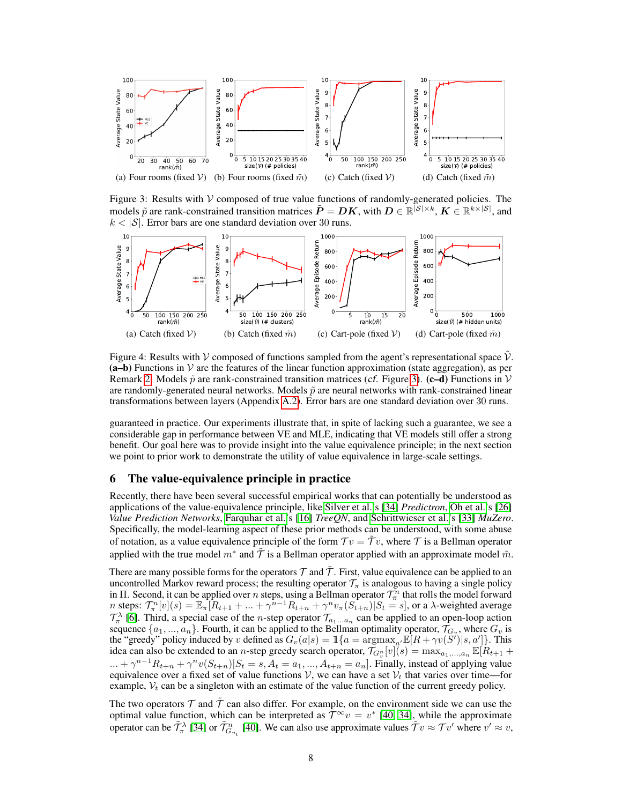

Figure 3: Results with  $V$  composed of true value functions of randomly-generated policies. The models  $\tilde{p}$  are rank-constrained transition matrices  $\tilde{P} = DK$ , with  $D \in \mathbb{R}^{\tilde{|S|} \times k}$ ,  $K \in \mathbb{R}^{k \times |S|}$ , and  $k < |\mathcal{S}|$ . Error bars are one standard deviation over 30 runs.



Figure 4: Results with V composed of functions sampled from the agent's representational space  $\dot{V}$ .  $(a-b)$  Functions in V are the features of the linear function approximation (state aggregation), as per Remark 2. Models  $\tilde{p}$  are rank-constrained transition matrices (cf. Figure 3). (c–d) Functions in V are randomly-generated neural networks. Models  $\tilde{p}$  are neural networks with rank-constrained linear transformations between layers (Appendix A.2). Error bars are one standard deviation over 30 runs.

guaranteed in practice. Our experiments illustrate that, in spite of lacking such a guarantee, we see a considerable gap in performance between VE and MLE, indicating that VE models still offer a strong benefit. Our goal here was to provide insight into the value equivalence principle; in the next section we point to prior work to demonstrate the utility of value equivalence in large-scale settings.

## 6 The value-equivalence principle in practice

Recently, there have been several successful empirical works that can potentially be understood as applications of the value-equivalence principle, like Silver et al.'s [34] *Predictron*, Oh et al.'s [26] *Value Prediction Networks*, Farquhar et al.'s [16] *TreeQN*, and Schrittwieser et al.'s [33] *MuZero*. Specifically, the model-learning aspect of these prior methods can be understood, with some abuse of notation, as a value equivalence principle of the form  $Tv = \tilde{T}v$ , where  $\tau$  is a Bellman operator applied with the true model  $m^*$  and  $\tilde{T}$  is a Bellman operator applied with an approximate model  $\tilde{m}$ .

There are many possible forms for the operators  $T$  and  $T$ . First, value equivalence can be applied to an uncontrolled Markov reward process; the resulting operator  $\mathcal{T}_{\pi}$  is analogous to having a single policy in Π. Second, it can be applied over *n* steps, using a Bellman operator  $\mathcal{T}_\pi^n$  that rolls the model forward *n* steps:  $\mathcal{T}_{\pi}^{n}[v](s) = \mathbb{E}_{\pi}[R_{t+1} + ... + \gamma^{n-1}R_{t+n} + \gamma^{n}v_{\pi}(S_{t+n})|S_t = s]$ , or a  $\lambda$ -weighted average  $\mathcal{T}_{\pi}^{\lambda}$  [6]. Third, a special case of the *n*-step operator  $\mathcal{T}_{a_1...a_n}$  can be applied to an open-loop action sequence  $\{a_1, ..., a_n\}$ . Fourth, it can be applied to the Bellman optimality operator,  $\mathcal{T}_{G_v}$ , where  $G_v$  is the "greedy" policy induced by v defined as  $G_v(a|s) = \mathbb{1}\{a = \text{argmax}_a \mathbb{E}[R + \gamma v(\breve{S}^t)|s, a']\}$ . This idea can also be extended to an *n*-step greedy search operator,  $\overline{\gamma}_{G_v^n}[v](s) = \max_{a_1,\dots,a_n} \mathbb{E}[R_{t+1} +$  $... + \gamma^{n-1} R_{t+n} + \gamma^n v(S_{t+n}) | S_t = s, A_t = a_1, ..., A_{t+n} = a_n].$  Finally, instead of applying value equivalence over a fixed set of value functions V, we can have a set  $V_t$  that varies over time—for example,  $V_t$  can be a singleton with an estimate of the value function of the current greedy policy.

The two operators  $\mathcal T$  and  $\tilde T$  can also differ. For example, on the environment side we can use the optimal value function, which can be interpreted as  $\hat{\tau}^{\infty}v = v^*$  [40, 34], while the approximate operator can be  $\tilde{\mathcal{T}}_{\pi}^{\lambda}$  [34] or  $\tilde{\mathcal{T}}_{G_{v_t}}^n$  [40]. We can also use approximate values  $\tilde{\mathcal{T}}v \approx \mathcal{T}v'$  where  $v' \approx v$ ,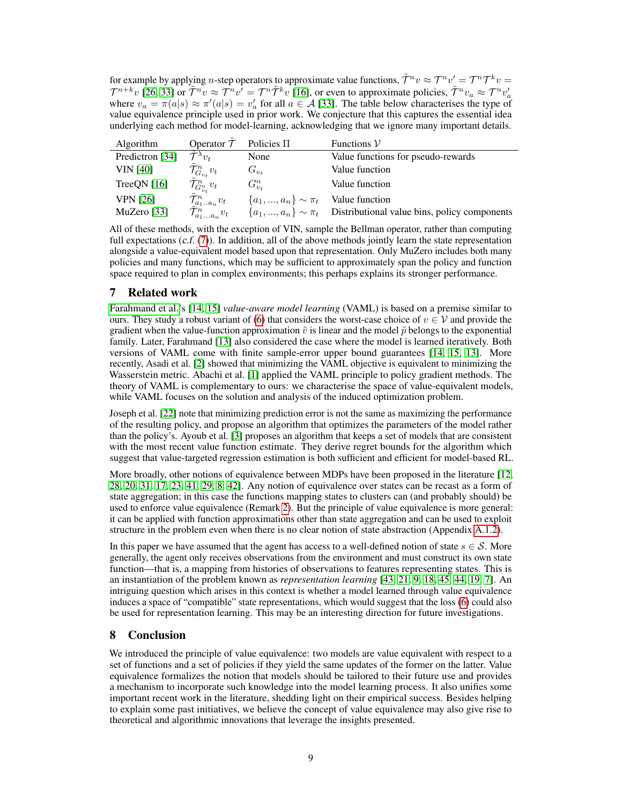for example by applying *n*-step operators to approximate value functions,  $\tilde{\mathcal{T}}^n v \approx \mathcal{T}^n v' = \mathcal{T}^n \mathcal{T}^k v =$  $\mathcal{T}^{n+k}v$  [26, 33] or  $\tilde{\mathcal{T}}^n v \approx \tilde{\mathcal{T}}^n v' = \mathcal{T}^n \tilde{\mathcal{T}}^k v$  [16], or even to approximate policies,  $\tilde{\mathcal{T}}^n v_a \approx \mathcal{T}^n v'_a$ <br>where  $v_a = \pi(a|s) \approx \pi'(a|s) = v'_a$  for all  $a \in \mathcal{A}$  [33]. The table below characteri value equivalence principle used in prior work. We conjecture that this captures the essential idea underlying each method for model-learning, acknowledging that we ignore many important details.

| <b>Algorithm</b> | Operator $\mathcal T$                        | Policies $\Pi$                           | Functions $V$                                                          |
|------------------|----------------------------------------------|------------------------------------------|------------------------------------------------------------------------|
| Predictron [34]  | $\tilde{\mathcal{T}}^{\lambda}v_t$           | None                                     | Value functions for pseudo-rewards                                     |
| <b>VIN</b> [40]  | $\mathcal{T}^n_{G_{v_t}}v_t$                 | $G_{v_t}$                                | Value function                                                         |
| TreeQN $[16]$    | $\tilde{\mathcal{T}}_{G_{v_\star}^n}^n v_t$  | $G_{v_+}^n$                              | Value function                                                         |
| <b>VPN</b> [26]  | $\tilde{\mathcal{T}}_{a_1 \ldots a_n}^n v_t$ | ${a_1, , a_n} \sim \pi_t$ Value function |                                                                        |
| MuZero [33]      | $\mathcal{T}_{a_1a_n}^n v_t$                 |                                          | ${a_1, , a_n} \sim \pi_t$ Distributional value bins, policy components |

All of these methods, with the exception of VIN, sample the Bellman operator, rather than computing full expectations  $(c.f. (7))$ . In addition, all of the above methods jointly learn the state representation alongside a value-equivalent model based upon that representation. Only MuZero includes both many policies and many functions, which may be sufficient to approximately span the policy and function space required to plan in complex environments; this perhaps explains its stronger performance.

# 7 Related work

Farahmand et al.'s [14, 15] *value-aware model learning* (VAML) is based on a premise similar to ours. They study a robust variant of (6) that considers the worst-case choice of  $v \in V$  and provide the gradient when the value-function approximation  $\tilde{v}$  is linear and the model  $\tilde{p}$  belongs to the exponential family. Later, Farahmand [13] also considered the case where the model is learned iteratively. Both versions of VAML come with finite sample-error upper bound guarantees [14, 15, 13]. More recently, Asadi et al. [2] showed that minimizing the VAML objective is equivalent to minimizing the Wasserstein metric. Abachi et al. [1] applied the VAML principle to policy gradient methods. The theory of VAML is complementary to ours: we characterise the space of value-equivalent models, while VAML focuses on the solution and analysis of the induced optimization problem.

Joseph et al. [22] note that minimizing prediction error is not the same as maximizing the performance of the resulting policy, and propose an algorithm that optimizes the parameters of the model rather than the policy's. Ayoub et al. [3] proposes an algorithm that keeps a set of models that are consistent with the most recent value function estimate. They derive regret bounds for the algorithm which suggest that value-targeted regression estimation is both sufficient and efficient for model-based RL.

More broadly, other notions of equivalence between MDPs have been proposed in the literature [12, 28, 20, 31, 17, 23, 41, 29, 8, 42]. Any notion of equivalence over states can be recast as a form of state aggregation; in this case the functions mapping states to clusters can (and probably should) be used to enforce value equivalence (Remark 2). But the principle of value equivalence is more general: it can be applied with function approximations other than state aggregation and can be used to exploit structure in the problem even when there is no clear notion of state abstraction (Appendix A.1.2).

In this paper we have assumed that the agent has access to a well-defined notion of state  $s \in \mathcal{S}$ . More generally, the agent only receives observations from the environment and must construct its own state function—that is, a mapping from histories of observations to features representing states. This is an instantiation of the problem known as *representation learning* [43, 21, 9, 18, 45, 44, 19, 7]. An intriguing question which arises in this context is whether a model learned through value equivalence induces a space of "compatible" state representations, which would suggest that the loss (6) could also be used for representation learning. This may be an interesting direction for future investigations.

# 8 Conclusion

We introduced the principle of value equivalence: two models are value equivalent with respect to a set of functions and a set of policies if they yield the same updates of the former on the latter. Value equivalence formalizes the notion that models should be tailored to their future use and provides a mechanism to incorporate such knowledge into the model learning process. It also unifies some important recent work in the literature, shedding light on their empirical success. Besides helping to explain some past initiatives, we believe the concept of value equivalence may also give rise to theoretical and algorithmic innovations that leverage the insights presented.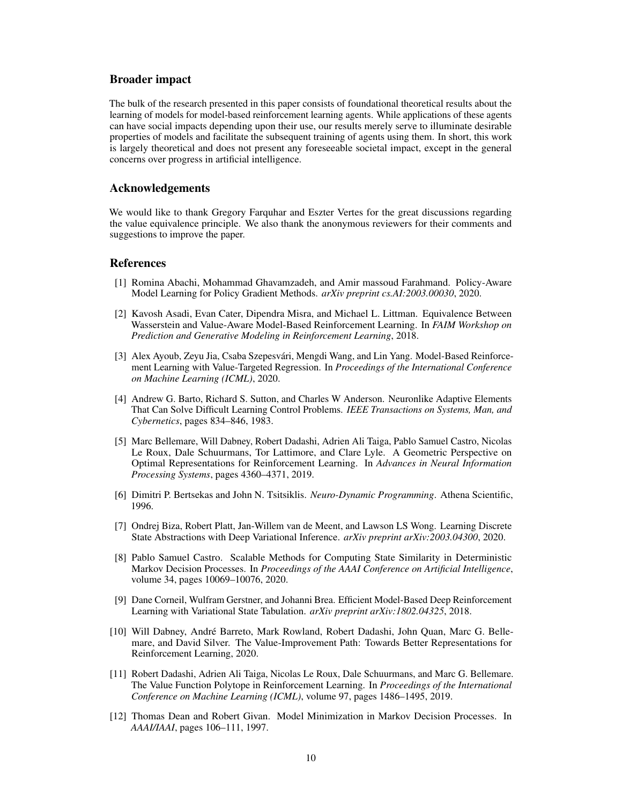#### Broader impact

The bulk of the research presented in this paper consists of foundational theoretical results about the learning of models for model-based reinforcement learning agents. While applications of these agents can have social impacts depending upon their use, our results merely serve to illuminate desirable properties of models and facilitate the subsequent training of agents using them. In short, this work is largely theoretical and does not present any foreseeable societal impact, except in the general concerns over progress in artificial intelligence.

## Acknowledgements

We would like to thank Gregory Farquhar and Eszter Vertes for the great discussions regarding the value equivalence principle. We also thank the anonymous reviewers for their comments and suggestions to improve the paper.

## References

- [1] Romina Abachi, Mohammad Ghavamzadeh, and Amir massoud Farahmand. Policy-Aware Model Learning for Policy Gradient Methods. *arXiv preprint cs.AI:2003.00030*, 2020.
- [2] Kavosh Asadi, Evan Cater, Dipendra Misra, and Michael L. Littman. Equivalence Between Wasserstein and Value-Aware Model-Based Reinforcement Learning. In *FAIM Workshop on Prediction and Generative Modeling in Reinforcement Learning*, 2018.
- [3] Alex Ayoub, Zeyu Jia, Csaba Szepesvári, Mengdi Wang, and Lin Yang. Model-Based Reinforcement Learning with Value-Targeted Regression. In *Proceedings of the International Conference on Machine Learning (ICML)*, 2020.
- [4] Andrew G. Barto, Richard S. Sutton, and Charles W Anderson. Neuronlike Adaptive Elements That Can Solve Difficult Learning Control Problems. *IEEE Transactions on Systems, Man, and Cybernetics*, pages 834–846, 1983.
- [5] Marc Bellemare, Will Dabney, Robert Dadashi, Adrien Ali Taiga, Pablo Samuel Castro, Nicolas Le Roux, Dale Schuurmans, Tor Lattimore, and Clare Lyle. A Geometric Perspective on Optimal Representations for Reinforcement Learning. In *Advances in Neural Information Processing Systems*, pages 4360–4371, 2019.
- [6] Dimitri P. Bertsekas and John N. Tsitsiklis. *Neuro-Dynamic Programming*. Athena Scientific, 1996.
- [7] Ondrej Biza, Robert Platt, Jan-Willem van de Meent, and Lawson LS Wong. Learning Discrete State Abstractions with Deep Variational Inference. *arXiv preprint arXiv:2003.04300*, 2020.
- [8] Pablo Samuel Castro. Scalable Methods for Computing State Similarity in Deterministic Markov Decision Processes. In *Proceedings of the AAAI Conference on Artificial Intelligence*, volume 34, pages 10069–10076, 2020.
- [9] Dane Corneil, Wulfram Gerstner, and Johanni Brea. Efficient Model-Based Deep Reinforcement Learning with Variational State Tabulation. *arXiv preprint arXiv:1802.04325*, 2018.
- [10] Will Dabney, André Barreto, Mark Rowland, Robert Dadashi, John Quan, Marc G. Bellemare, and David Silver. The Value-Improvement Path: Towards Better Representations for Reinforcement Learning, 2020.
- [11] Robert Dadashi, Adrien Ali Taiga, Nicolas Le Roux, Dale Schuurmans, and Marc G. Bellemare. The Value Function Polytope in Reinforcement Learning. In *Proceedings of the International Conference on Machine Learning (ICML)*, volume 97, pages 1486–1495, 2019.
- [12] Thomas Dean and Robert Givan. Model Minimization in Markov Decision Processes. In *AAAI/IAAI*, pages 106–111, 1997.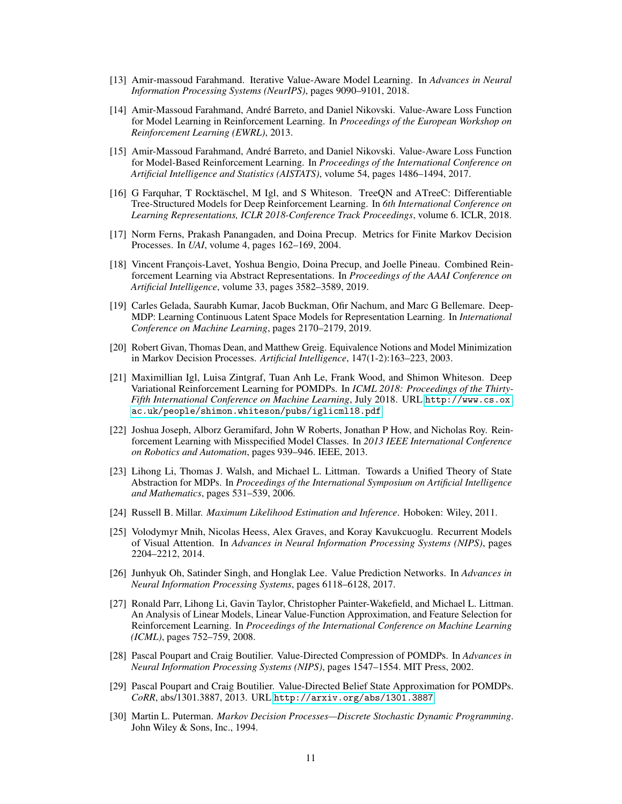- [13] Amir-massoud Farahmand. Iterative Value-Aware Model Learning. In *Advances in Neural Information Processing Systems (NeurIPS)*, pages 9090–9101, 2018.
- [14] Amir-Massoud Farahmand, André Barreto, and Daniel Nikovski. Value-Aware Loss Function for Model Learning in Reinforcement Learning. In *Proceedings of the European Workshop on Reinforcement Learning (EWRL)*, 2013.
- [15] Amir-Massoud Farahmand, André Barreto, and Daniel Nikovski. Value-Aware Loss Function for Model-Based Reinforcement Learning. In *Proceedings of the International Conference on Artificial Intelligence and Statistics (AISTATS)*, volume 54, pages 1486–1494, 2017.
- [16] G Farquhar, T Rocktäschel, M Igl, and S Whiteson. TreeQN and ATreeC: Differentiable Tree-Structured Models for Deep Reinforcement Learning. In *6th International Conference on Learning Representations, ICLR 2018-Conference Track Proceedings*, volume 6. ICLR, 2018.
- [17] Norm Ferns, Prakash Panangaden, and Doina Precup. Metrics for Finite Markov Decision Processes. In *UAI*, volume 4, pages 162–169, 2004.
- [18] Vincent François-Lavet, Yoshua Bengio, Doina Precup, and Joelle Pineau. Combined Reinforcement Learning via Abstract Representations. In *Proceedings of the AAAI Conference on Artificial Intelligence*, volume 33, pages 3582–3589, 2019.
- [19] Carles Gelada, Saurabh Kumar, Jacob Buckman, Ofir Nachum, and Marc G Bellemare. Deep-MDP: Learning Continuous Latent Space Models for Representation Learning. In *International Conference on Machine Learning*, pages 2170–2179, 2019.
- [20] Robert Givan, Thomas Dean, and Matthew Greig. Equivalence Notions and Model Minimization in Markov Decision Processes. *Artificial Intelligence*, 147(1-2):163–223, 2003.
- [21] Maximillian Igl, Luisa Zintgraf, Tuan Anh Le, Frank Wood, and Shimon Whiteson. Deep Variational Reinforcement Learning for POMDPs. In *ICML 2018: Proceedings of the Thirty-Fifth International Conference on Machine Learning*, July 2018. URL [http://www.cs.ox.](http://www.cs.ox.ac.uk/people/shimon.whiteson/pubs/iglicml18.pdf) [ac.uk/people/shimon.whiteson/pubs/iglicml18.pdf](http://www.cs.ox.ac.uk/people/shimon.whiteson/pubs/iglicml18.pdf).
- [22] Joshua Joseph, Alborz Geramifard, John W Roberts, Jonathan P How, and Nicholas Roy. Reinforcement Learning with Misspecified Model Classes. In *2013 IEEE International Conference on Robotics and Automation*, pages 939–946. IEEE, 2013.
- [23] Lihong Li, Thomas J. Walsh, and Michael L. Littman. Towards a Unified Theory of State Abstraction for MDPs. In *Proceedings of the International Symposium on Artificial Intelligence and Mathematics*, pages 531–539, 2006.
- [24] Russell B. Millar. *Maximum Likelihood Estimation and Inference*. Hoboken: Wiley, 2011.
- [25] Volodymyr Mnih, Nicolas Heess, Alex Graves, and Koray Kavukcuoglu. Recurrent Models of Visual Attention. In *Advances in Neural Information Processing Systems (NIPS)*, pages 2204–2212, 2014.
- [26] Junhyuk Oh, Satinder Singh, and Honglak Lee. Value Prediction Networks. In *Advances in Neural Information Processing Systems*, pages 6118–6128, 2017.
- [27] Ronald Parr, Lihong Li, Gavin Taylor, Christopher Painter-Wakefield, and Michael L. Littman. An Analysis of Linear Models, Linear Value-Function Approximation, and Feature Selection for Reinforcement Learning. In *Proceedings of the International Conference on Machine Learning (ICML)*, pages 752–759, 2008.
- [28] Pascal Poupart and Craig Boutilier. Value-Directed Compression of POMDPs. In *Advances in Neural Information Processing Systems (NIPS)*, pages 1547–1554. MIT Press, 2002.
- [29] Pascal Poupart and Craig Boutilier. Value-Directed Belief State Approximation for POMDPs. *CoRR*, abs/1301.3887, 2013. URL <http://arxiv.org/abs/1301.3887>.
- [30] Martin L. Puterman. *Markov Decision Processes—Discrete Stochastic Dynamic Programming*. John Wiley & Sons, Inc., 1994.